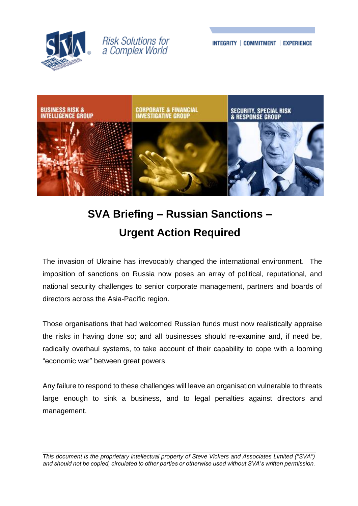

## **Risk Solutions for** a Complex World

INTEGRITY | COMMITMENT | EXPERIENCE



# **SVA Briefing – Russian Sanctions – Urgent Action Required**

The invasion of Ukraine has irrevocably changed the international environment. The imposition of sanctions on Russia now poses an array of political, reputational, and national security challenges to senior corporate management, partners and boards of directors across the Asia-Pacific region.

Those organisations that had welcomed Russian funds must now realistically appraise the risks in having done so; and all businesses should re-examine and, if need be, radically overhaul systems, to take account of their capability to cope with a looming "economic war" between great powers.

Any failure to respond to these challenges will leave an organisation vulnerable to threats large enough to sink a business, and to legal penalties against directors and management.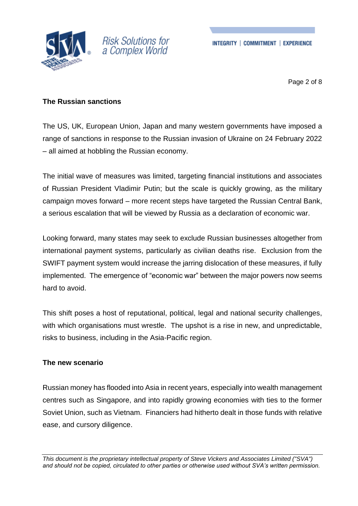

# **Risk Solutions for** a Complex World

Page 2 of 8

#### **The Russian sanctions**

The US, UK, European Union, Japan and many western governments have imposed a range of sanctions in response to the Russian invasion of Ukraine on 24 February 2022 – all aimed at hobbling the Russian economy.

The initial wave of measures was limited, targeting financial institutions and associates of Russian President Vladimir Putin; but the scale is quickly growing, as the military campaign moves forward – more recent steps have targeted the Russian Central Bank, a serious escalation that will be viewed by Russia as a declaration of economic war.

Looking forward, many states may seek to exclude Russian businesses altogether from international payment systems, particularly as civilian deaths rise. Exclusion from the SWIFT payment system would increase the jarring dislocation of these measures, if fully implemented. The emergence of "economic war" between the major powers now seems hard to avoid.

This shift poses a host of reputational, political, legal and national security challenges, with which organisations must wrestle. The upshot is a rise in new, and unpredictable, risks to business, including in the Asia-Pacific region.

#### **The new scenario**

Russian money has flooded into Asia in recent years, especially into wealth management centres such as Singapore, and into rapidly growing economies with ties to the former Soviet Union, such as Vietnam. Financiers had hitherto dealt in those funds with relative ease, and cursory diligence.

*This document is the proprietary intellectual property of Steve Vickers and Associates Limited ("SVA") and should not be copied, circulated to other parties or otherwise used without SVA's written permission.*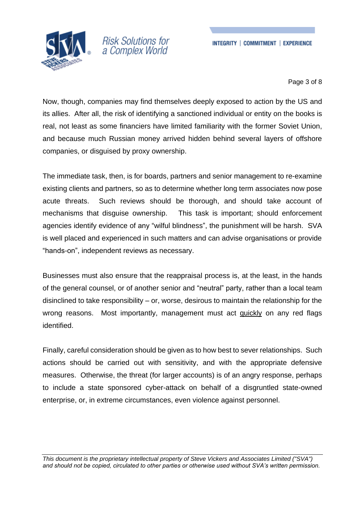



Page 3 of 8

Now, though, companies may find themselves deeply exposed to action by the US and its allies. After all, the risk of identifying a sanctioned individual or entity on the books is real, not least as some financiers have limited familiarity with the former Soviet Union, and because much Russian money arrived hidden behind several layers of offshore companies, or disguised by proxy ownership.

The immediate task, then, is for boards, partners and senior management to re-examine existing clients and partners, so as to determine whether long term associates now pose acute threats. Such reviews should be thorough, and should take account of mechanisms that disguise ownership. This task is important; should enforcement agencies identify evidence of any "wilful blindness", the punishment will be harsh. SVA is well placed and experienced in such matters and can advise organisations or provide "hands-on", independent reviews as necessary.

Businesses must also ensure that the reappraisal process is, at the least, in the hands of the general counsel, or of another senior and "neutral" party, rather than a local team disinclined to take responsibility – or, worse, desirous to maintain the relationship for the wrong reasons. Most importantly, management must act quickly on any red flags identified.

Finally, careful consideration should be given as to how best to sever relationships. Such actions should be carried out with sensitivity, and with the appropriate defensive measures. Otherwise, the threat (for larger accounts) is of an angry response, perhaps to include a state sponsored cyber-attack on behalf of a disgruntled state-owned enterprise, or, in extreme circumstances, even violence against personnel.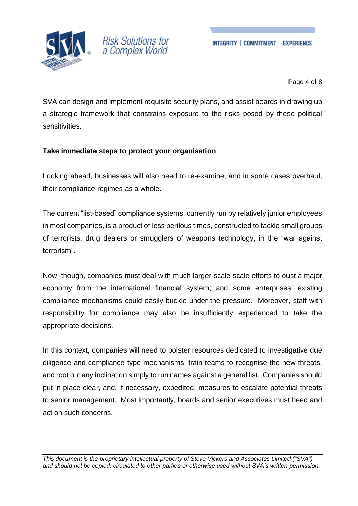



Page 4 of 8

SVA can design and implement requisite security plans, and assist boards in drawing up a strategic framework that constrains exposure to the risks posed by these political sensitivities.

#### **Take immediate steps to protect your organisation**

Looking ahead, businesses will also need to re-examine, and in some cases overhaul, their compliance regimes as a whole.

The current "list-based" compliance systems, currently run by relatively junior employees in most companies, is a product of less perilous times, constructed to tackle small groups of terrorists, drug dealers or smugglers of weapons technology, in the "war against terrorism".

Now, though, companies must deal with much larger-scale scale efforts to oust a major economy from the international financial system; and some enterprises' existing compliance mechanisms could easily buckle under the pressure. Moreover, staff with responsibility for compliance may also be insufficiently experienced to take the appropriate decisions.

In this context, companies will need to bolster resources dedicated to investigative due diligence and compliance type mechanisms, train teams to recognise the new threats, and root out any inclination simply to run names against a general list. Companies should put in place clear, and, if necessary, expedited, measures to escalate potential threats to senior management. Most importantly, boards and senior executives must heed and act on such concerns.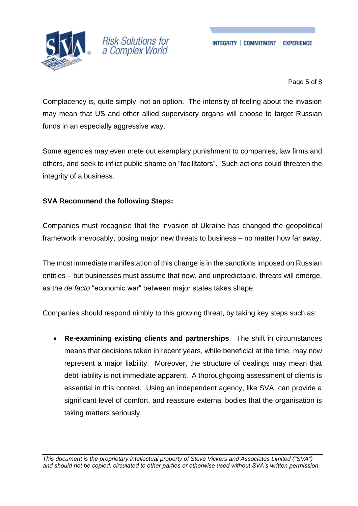



Page 5 of 8

Complacency is, quite simply, not an option. The intensity of feeling about the invasion may mean that US and other allied supervisory organs will choose to target Russian funds in an especially aggressive way.

Some agencies may even mete out exemplary punishment to companies, law firms and others, and seek to inflict public shame on "facilitators". Such actions could threaten the integrity of a business.

#### **SVA Recommend the following Steps:**

Companies must recognise that the invasion of Ukraine has changed the geopolitical framework irrevocably, posing major new threats to business – no matter how far away.

The most immediate manifestation of this change is in the sanctions imposed on Russian entities – but businesses must assume that new, and unpredictable, threats will emerge, as the *de facto* "economic war" between major states takes shape.

Companies should respond nimbly to this growing threat, by taking key steps such as:

• **Re-examining existing clients and partnerships**. The shift in circumstances means that decisions taken in recent years, while beneficial at the time, may now represent a major liability. Moreover, the structure of dealings may mean that debt liability is not immediate apparent. A thoroughgoing assessment of clients is essential in this context. Using an independent agency, like SVA, can provide a significant level of comfort, and reassure external bodies that the organisation is taking matters seriously.

*This document is the proprietary intellectual property of Steve Vickers and Associates Limited ("SVA") and should not be copied, circulated to other parties or otherwise used without SVA's written permission.*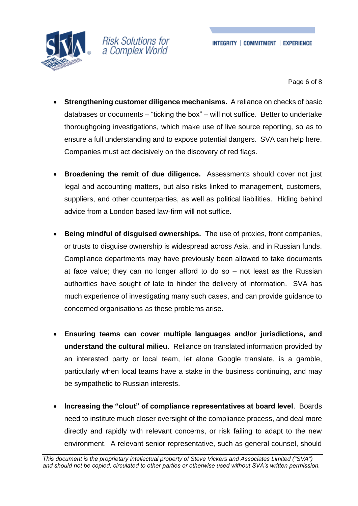

Page 6 of 8

- **Strengthening customer diligence mechanisms.** A reliance on checks of basic databases or documents – "ticking the box" – will not suffice. Better to undertake thoroughgoing investigations, which make use of live source reporting, so as to ensure a full understanding and to expose potential dangers. SVA can help here. Companies must act decisively on the discovery of red flags.
- **Broadening the remit of due diligence.** Assessments should cover not just legal and accounting matters, but also risks linked to management, customers, suppliers, and other counterparties, as well as political liabilities. Hiding behind advice from a London based law-firm will not suffice.
- **Being mindful of disguised ownerships.** The use of proxies, front companies, or trusts to disguise ownership is widespread across Asia, and in Russian funds. Compliance departments may have previously been allowed to take documents at face value; they can no longer afford to do so – not least as the Russian authorities have sought of late to hinder the delivery of information. SVA has much experience of investigating many such cases, and can provide guidance to concerned organisations as these problems arise.
- **Ensuring teams can cover multiple languages and/or jurisdictions, and understand the cultural milieu**. Reliance on translated information provided by an interested party or local team, let alone Google translate, is a gamble, particularly when local teams have a stake in the business continuing, and may be sympathetic to Russian interests.
- **Increasing the "clout" of compliance representatives at board level**. Boards need to institute much closer oversight of the compliance process, and deal more directly and rapidly with relevant concerns, or risk failing to adapt to the new environment. A relevant senior representative, such as general counsel, should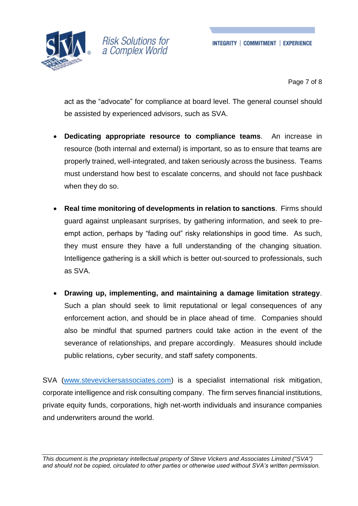

Page 7 of 8

act as the "advocate" for compliance at board level. The general counsel should be assisted by experienced advisors, such as SVA.

- **Dedicating appropriate resource to compliance teams**. An increase in resource (both internal and external) is important, so as to ensure that teams are properly trained, well-integrated, and taken seriously across the business. Teams must understand how best to escalate concerns, and should not face pushback when they do so.
- **Real time monitoring of developments in relation to sanctions**. Firms should guard against unpleasant surprises, by gathering information, and seek to preempt action, perhaps by "fading out" risky relationships in good time. As such, they must ensure they have a full understanding of the changing situation. Intelligence gathering is a skill which is better out-sourced to professionals, such as SVA.
- **Drawing up, implementing, and maintaining a damage limitation strategy**. Such a plan should seek to limit reputational or legal consequences of any enforcement action, and should be in place ahead of time. Companies should also be mindful that spurned partners could take action in the event of the severance of relationships, and prepare accordingly. Measures should include public relations, cyber security, and staff safety components.

SVA [\(www.stevevickersassociates.com\)](http://www.stevevickersassociates.com/) is a specialist international risk mitigation, corporate intelligence and risk consulting company. The firm serves financial institutions, private equity funds, corporations, high net-worth individuals and insurance companies and underwriters around the world.

*This document is the proprietary intellectual property of Steve Vickers and Associates Limited ("SVA") and should not be copied, circulated to other parties or otherwise used without SVA's written permission.*